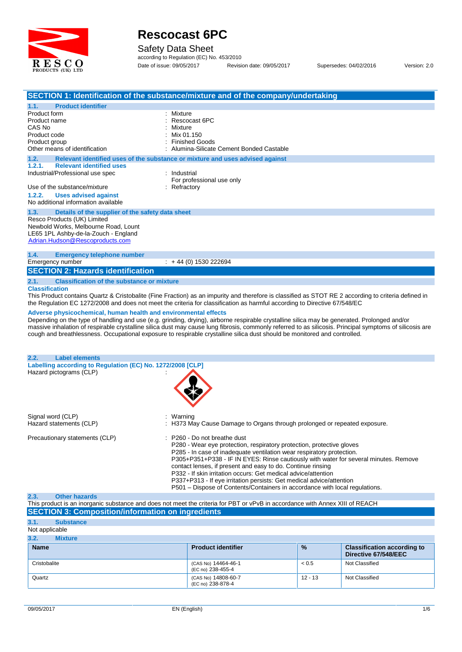

Safety Data Sheet

according to Regulation (EC) No. 453/2010 Date of issue: 09/05/2017 Revision date: 09/05/2017 Supersedes: 04/02/2016 Version: 2.0

|                                                                                                                                                                                                            | SECTION 1: Identification of the substance/mixture and of the company/undertaking                                                                                                                                                                                                                                                                                                                                                                                                                                                                                                                                                                                                                                          |
|------------------------------------------------------------------------------------------------------------------------------------------------------------------------------------------------------------|----------------------------------------------------------------------------------------------------------------------------------------------------------------------------------------------------------------------------------------------------------------------------------------------------------------------------------------------------------------------------------------------------------------------------------------------------------------------------------------------------------------------------------------------------------------------------------------------------------------------------------------------------------------------------------------------------------------------------|
| <b>Product identifier</b><br>1.1.<br>Product form<br>Product name<br>CAS No<br>Product code<br>Product group<br>Other means of identification                                                              | Mixture<br>Rescocast 6PC<br>Mixture<br>Mix 01.150<br><b>Finished Goods</b><br>Alumina-Silicate Cement Bonded Castable                                                                                                                                                                                                                                                                                                                                                                                                                                                                                                                                                                                                      |
| 1.2.                                                                                                                                                                                                       | Relevant identified uses of the substance or mixture and uses advised against                                                                                                                                                                                                                                                                                                                                                                                                                                                                                                                                                                                                                                              |
| <b>Relevant identified uses</b><br>1.2.1.<br>Industrial/Professional use spec<br>Use of the substance/mixture<br>1.2.2.<br><b>Uses advised against</b><br>No additional information available              | : Industrial<br>For professional use only<br>Refractory                                                                                                                                                                                                                                                                                                                                                                                                                                                                                                                                                                                                                                                                    |
| 1.3.<br>Details of the supplier of the safety data sheet<br>Resco Products (UK) Limited<br>Newbold Works, Melbourne Road, Lount<br>LE65 1PL Ashby-de-la-Zouch - England<br>Adrian.Hudson@Rescoproducts.com |                                                                                                                                                                                                                                                                                                                                                                                                                                                                                                                                                                                                                                                                                                                            |
| 1.4.<br><b>Emergency telephone number</b><br>Emergency number<br><b>SECTION 2: Hazards identification</b>                                                                                                  | $\div$ + 44 (0) 1530 222694                                                                                                                                                                                                                                                                                                                                                                                                                                                                                                                                                                                                                                                                                                |
| <b>Classification of the substance or mixture</b><br>2.1.<br><b>Classification</b><br>Adverse physicochemical, human health and environmental effects                                                      | This Product contains Quartz & Cristobalite (Fine Fraction) as an impurity and therefore is classified as STOT RE 2 according to criteria defined in<br>the Regulation EC 1272/2008 and does not meet the criteria for classification as harmful according to Directive 67/548/EC<br>Depending on the type of handling and use (e.g. grinding, drying), airborne respirable crystalline silica may be generated. Prolonged and/or<br>massive inhalation of respirable crystalline silica dust may cause lung fibrosis, commonly referred to as silicosis. Principal symptoms of silicosis are<br>cough and breathlessness. Occupational exposure to respirable crystalline silica dust should be monitored and controlled. |
| <b>Label elements</b><br>2.2.                                                                                                                                                                              |                                                                                                                                                                                                                                                                                                                                                                                                                                                                                                                                                                                                                                                                                                                            |
| Labelling according to Regulation (EC) No. 1272/2008 [CLP]<br>Hazard pictograms (CLP)                                                                                                                      |                                                                                                                                                                                                                                                                                                                                                                                                                                                                                                                                                                                                                                                                                                                            |
| Signal word (CLP)<br>Hazard statements (CLP)                                                                                                                                                               | Warning<br>H373 May Cause Damage to Organs through prolonged or repeated exposure.                                                                                                                                                                                                                                                                                                                                                                                                                                                                                                                                                                                                                                         |
| Precautionary statements (CLP)                                                                                                                                                                             | P260 - Do not breathe dust<br>P280 - Wear eye protection, respiratory protection, protective gloves<br>P285 - In case of inadequate ventilation wear respiratory protection.<br>P305+P351+P338 - IF IN EYES: Rinse cautiously with water for several minutes. Remove<br>contact lenses, if present and easy to do. Continue rinsing<br>P332 - If skin irritation occurs: Get medical advice/attention<br>P337+P313 - If eye irritation persists: Get medical advice/attention<br>P501 - Dispose of Contents/Containers in accordance with local regulations.                                                                                                                                                               |
| <b>Other hazards</b><br>2.3.                                                                                                                                                                               |                                                                                                                                                                                                                                                                                                                                                                                                                                                                                                                                                                                                                                                                                                                            |

#### This product is an inorganic substance and does notmeet the criteria for PBT or vPvB in accordance with Annex XIII of REACH **SECTION 3: Composition/information on ingredients**

| 3.1.           | <b>Substance</b> |                                          |               |                                                            |
|----------------|------------------|------------------------------------------|---------------|------------------------------------------------------------|
| Not applicable |                  |                                          |               |                                                            |
| 3.2.           | <b>Mixture</b>   |                                          |               |                                                            |
| <b>Name</b>    |                  | <b>Product identifier</b>                | $\frac{9}{6}$ | <b>Classification according to</b><br>Directive 67/548/EEC |
| Cristobalite   |                  | (CAS No) 14464-46-1<br>(EC no) 238-455-4 | < 0.5         | Not Classified                                             |
| Quartz         |                  | (CAS No) 14808-60-7<br>(EC no) 238-878-4 | $12 - 13$     | Not Classified                                             |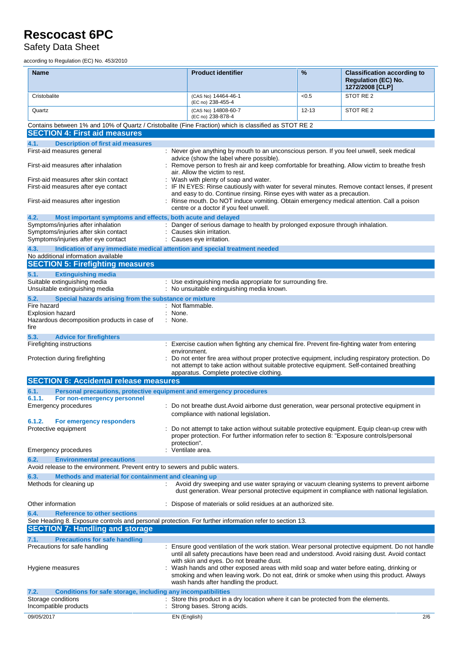Safety Data Sheet

according to Regulation (EC) No. 453/2010

| Name                                                                                                                                                 | <b>Product identifier</b>                                                                                                                                                                                                                                                 | $\%$      | <b>Classification according to</b><br><b>Regulation (EC) No.</b><br>1272/2008 [CLP] |
|------------------------------------------------------------------------------------------------------------------------------------------------------|---------------------------------------------------------------------------------------------------------------------------------------------------------------------------------------------------------------------------------------------------------------------------|-----------|-------------------------------------------------------------------------------------|
| Cristobalite                                                                                                                                         | (CAS No) 14464-46-1<br>(EC no) 238-455-4                                                                                                                                                                                                                                  | < 0.5     | STOT RE 2                                                                           |
| Quartz                                                                                                                                               | (CAS No) 14808-60-7<br>(EC no) 238-878-4                                                                                                                                                                                                                                  | $12 - 13$ | STOT RE 2                                                                           |
| Contains between 1% and 10% of Quartz / Cristobalite (Fine Fraction) which is classified as STOT RE 2                                                |                                                                                                                                                                                                                                                                           |           |                                                                                     |
| <b>SECTION 4: First aid measures</b>                                                                                                                 |                                                                                                                                                                                                                                                                           |           |                                                                                     |
| 4.1.<br><b>Description of first aid measures</b>                                                                                                     |                                                                                                                                                                                                                                                                           |           |                                                                                     |
| First-aid measures general                                                                                                                           | : Never give anything by mouth to an unconscious person. If you feel unwell, seek medical<br>advice (show the label where possible).                                                                                                                                      |           |                                                                                     |
| First-aid measures after inhalation                                                                                                                  | Remove person to fresh air and keep comfortable for breathing. Allow victim to breathe fresh<br>air. Allow the victim to rest.                                                                                                                                            |           |                                                                                     |
| First-aid measures after skin contact<br>First-aid measures after eye contact                                                                        | : Wash with plenty of soap and water.<br>: IF IN EYES: Rinse cautiously with water for several minutes. Remove contact lenses, if present                                                                                                                                 |           |                                                                                     |
| First-aid measures after ingestion                                                                                                                   | and easy to do. Continue rinsing. Rinse eyes with water as a precaution.<br>Rinse mouth. Do NOT induce vomiting. Obtain emergency medical attention. Call a poison<br>centre or a doctor if you feel unwell.                                                              |           |                                                                                     |
| 4.2.<br>Most important symptoms and effects, both acute and delayed                                                                                  |                                                                                                                                                                                                                                                                           |           |                                                                                     |
| Symptoms/injuries after inhalation<br>Symptoms/injuries after skin contact                                                                           | Danger of serious damage to health by prolonged exposure through inhalation.<br>Causes skin irritation.                                                                                                                                                                   |           |                                                                                     |
| Symptoms/injuries after eye contact<br>4.3.<br>Indication of any immediate medical attention and special treatment needed                            | : Causes eye irritation.                                                                                                                                                                                                                                                  |           |                                                                                     |
| No additional information available                                                                                                                  |                                                                                                                                                                                                                                                                           |           |                                                                                     |
| <b>SECTION 5: Firefighting measures</b>                                                                                                              |                                                                                                                                                                                                                                                                           |           |                                                                                     |
| 5.1.<br><b>Extinguishing media</b>                                                                                                                   |                                                                                                                                                                                                                                                                           |           |                                                                                     |
| Suitable extinguishing media<br>Unsuitable extinguishing media                                                                                       | : Use extinguishing media appropriate for surrounding fire.<br>: No unsuitable extinguishing media known.                                                                                                                                                                 |           |                                                                                     |
| 5.2.<br>Special hazards arising from the substance or mixture                                                                                        |                                                                                                                                                                                                                                                                           |           |                                                                                     |
| Fire hazard                                                                                                                                          | : Not flammable.                                                                                                                                                                                                                                                          |           |                                                                                     |
| Explosion hazard                                                                                                                                     | : None.                                                                                                                                                                                                                                                                   |           |                                                                                     |
| Hazardous decomposition products in case of<br>fire                                                                                                  | : None.                                                                                                                                                                                                                                                                   |           |                                                                                     |
| 5.3.<br><b>Advice for firefighters</b>                                                                                                               |                                                                                                                                                                                                                                                                           |           |                                                                                     |
| Firefighting instructions                                                                                                                            | : Exercise caution when fighting any chemical fire. Prevent fire-fighting water from entering                                                                                                                                                                             |           |                                                                                     |
| Protection during firefighting                                                                                                                       | environment.<br>Do not enter fire area without proper protective equipment, including respiratory protection. Do<br>not attempt to take action without suitable protective equipment. Self-contained breathing<br>apparatus. Complete protective clothing.                |           |                                                                                     |
| <b>SECTION 6: Accidental release measures</b>                                                                                                        |                                                                                                                                                                                                                                                                           |           |                                                                                     |
| Personal precautions, protective equipment and emergency procedures<br>6.1.                                                                          |                                                                                                                                                                                                                                                                           |           |                                                                                     |
| 6.1.1.<br>For non-emergency personnel                                                                                                                |                                                                                                                                                                                                                                                                           |           |                                                                                     |
| Emergency procedures                                                                                                                                 | : Do not breathe dust. Avoid airborne dust generation, wear personal protective equipment in<br>compliance with national legislation.                                                                                                                                     |           |                                                                                     |
| 6.1.2.<br>For emergency responders                                                                                                                   |                                                                                                                                                                                                                                                                           |           |                                                                                     |
| Protective equipment                                                                                                                                 | Do not attempt to take action without suitable protective equipment. Equip clean-up crew with<br>proper protection. For further information refer to section 8: "Exposure controls/personal<br>protection".                                                               |           |                                                                                     |
| Emergency procedures                                                                                                                                 | Ventilate area.                                                                                                                                                                                                                                                           |           |                                                                                     |
| 6.2.<br><b>Environmental precautions</b>                                                                                                             |                                                                                                                                                                                                                                                                           |           |                                                                                     |
| Avoid release to the environment. Prevent entry to sewers and public waters.                                                                         |                                                                                                                                                                                                                                                                           |           |                                                                                     |
| 6.3.<br>Methods and material for containment and cleaning up                                                                                         |                                                                                                                                                                                                                                                                           |           |                                                                                     |
| Methods for cleaning up                                                                                                                              | Avoid dry sweeping and use water spraying or vacuum cleaning systems to prevent airborne<br>dust generation. Wear personal protective equipment in compliance with national legislation.                                                                                  |           |                                                                                     |
| Other information                                                                                                                                    | : Dispose of materials or solid residues at an authorized site.                                                                                                                                                                                                           |           |                                                                                     |
| 6.4.<br><b>Reference to other sections</b><br>See Heading 8. Exposure controls and personal protection. For further information refer to section 13. |                                                                                                                                                                                                                                                                           |           |                                                                                     |
| <b>SECTION 7: Handling and storage</b>                                                                                                               |                                                                                                                                                                                                                                                                           |           |                                                                                     |
| <b>Precautions for safe handling</b><br>7.1.                                                                                                         |                                                                                                                                                                                                                                                                           |           |                                                                                     |
| Precautions for safe handling                                                                                                                        | Ensure good ventilation of the work station. Wear personal protective equipment. Do not handle<br>until all safety precautions have been read and understood. Avoid raising dust. Avoid contact                                                                           |           |                                                                                     |
| Hygiene measures                                                                                                                                     | with skin and eyes. Do not breathe dust.<br>Wash hands and other exposed areas with mild soap and water before eating, drinking or<br>smoking and when leaving work. Do not eat, drink or smoke when using this product. Always<br>wash hands after handling the product. |           |                                                                                     |
| Conditions for safe storage, including any incompatibilities<br>7.2.                                                                                 |                                                                                                                                                                                                                                                                           |           |                                                                                     |
| Storage conditions<br>Incompatible products                                                                                                          | : Store this product in a dry location where it can be protected from the elements.<br>Strong bases. Strong acids.                                                                                                                                                        |           |                                                                                     |
| 09/05/2017                                                                                                                                           | EN (English)                                                                                                                                                                                                                                                              |           | 2/6                                                                                 |
|                                                                                                                                                      |                                                                                                                                                                                                                                                                           |           |                                                                                     |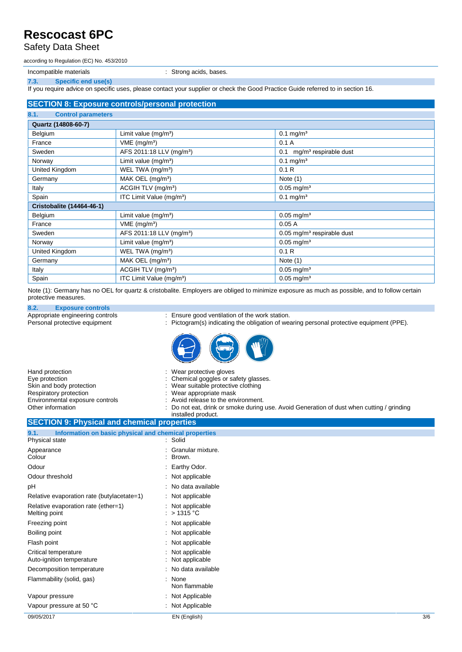Safety Data Sheet

according to Regulation (EC) No. 453/2010

Incompatible materials **incompatible materials incompatible materials incompatible materials** 

**7.3. Specific end use(s)**

If you require advice on specific uses, please contact your supplier or check the Good Practice Guide referred to in section 16.

#### **SECTION 8: Exposure controls/personal protection**

|                                   | فاشتراه المتحاولات والمتحاول والمتحاولات والمتحاول المتحاولات والمتحاولات والمتالية والمتحاولات والمتحاولات والمتحاولات |                                          |
|-----------------------------------|-------------------------------------------------------------------------------------------------------------------------|------------------------------------------|
| 8.1.<br><b>Control parameters</b> |                                                                                                                         |                                          |
| Quartz (14808-60-7)               |                                                                                                                         |                                          |
| Belgium                           | Limit value (mg/m <sup>3</sup> )                                                                                        | $0.1 \text{ mg/m}^3$                     |
| France                            | $VME$ (mg/m <sup>3</sup> )                                                                                              | 0.1A                                     |
| Sweden                            | AFS 2011:18 LLV (mg/m <sup>3</sup> )                                                                                    | mg/m <sup>3</sup> respirable dust<br>0.1 |
| Norway                            | Limit value $(mg/m3)$                                                                                                   | $0.1$ mg/m <sup>3</sup>                  |
| United Kingdom                    | WEL TWA (mg/m <sup>3</sup> )                                                                                            | 0.1R                                     |
| Germany                           | MAK OEL $(mg/m3)$                                                                                                       | Note $(1)$                               |
| Italy                             | ACGIH TLV (mg/m <sup>3</sup> )                                                                                          | $0.05$ mg/m <sup>3</sup>                 |
| Spain                             | ITC Limit Value (mg/m <sup>3</sup> )                                                                                    | $0.1$ mg/m <sup>3</sup>                  |
| <b>Cristobalite (14464-46-1)</b>  |                                                                                                                         |                                          |
| Belgium                           | Limit value (mg/m <sup>3</sup> )                                                                                        | $0.05 \,\mathrm{mg/m^3}$                 |
| France                            | $VME$ (mg/m <sup>3</sup> )                                                                                              | 0.05A                                    |
| Sweden                            | AFS 2011:18 LLV (mg/m <sup>3</sup> )                                                                                    | $0.05$ mg/m <sup>3</sup> respirable dust |
| Norway                            | Limit value $(mg/m^3)$                                                                                                  | $0.05 \,\mathrm{mg/m^3}$                 |
| United Kingdom                    | WEL TWA (mg/m <sup>3</sup> )                                                                                            | 0.1R                                     |
| Germany                           | MAK OEL (mg/m <sup>3</sup> )                                                                                            | Note $(1)$                               |
| Italy                             | ACGIH TLV (mg/m <sup>3</sup> )                                                                                          | $0.05 \,\mathrm{mg/m^3}$                 |
| Spain                             | ITC Limit Value (mg/m <sup>3</sup> )                                                                                    | $0.05 \,\mathrm{mg/m^3}$                 |

Note (1): Germany has no OEL for quartz & cristobalite. Employers are obliged to minimize exposure as much as possible, and to follow certain protective measures.

### **8.2. Exposure controls**

Appropriate engineering controls : Ensure good ventilation of the work station.<br>
Personal protective equipment : Pictogram(s) indicating the obligation of weak

- 
- : Pictogram(s) indicating the obligation of wearing personal protective equipment (PPE).



| Hand protection                 | : Wear protective gloves                                                                  |
|---------------------------------|-------------------------------------------------------------------------------------------|
| Eve protection                  | : Chemical goggles or safety glasses.                                                     |
| Skin and body protection        | : Wear suitable protective clothing                                                       |
| Respiratory protection          | : Wear appropriate mask                                                                   |
| Environmental exposure controls | : Avoid release to the environment.                                                       |
| Other information               | : Do not eat, drink or smoke during use. Avoid Generation of dust when cutting / grinding |
|                                 | installed product.                                                                        |

#### **SECTION 9: Physical and chemical properties 9.1. Information on basic physical and chemical properties** Physical state

| Non flammable<br>: Not Applicable<br>: Not Applicable |                   |
|-------------------------------------------------------|-------------------|
|                                                       |                   |
|                                                       |                   |
| : None                                                |                   |
| : No data available                                   |                   |
| Not applicable<br>Not applicable                      |                   |
| : Not applicable                                      |                   |
| $:$ Not applicable                                    |                   |
| : Not applicable                                      |                   |
| : Not applicable<br>: $>1315^{\circ}$ C               |                   |
| : Not applicable                                      |                   |
| : No data available                                   |                   |
| : Not applicable                                      |                   |
| Earthy Odor.                                          |                   |
| Brown.                                                |                   |
|                                                       | Granular mixture. |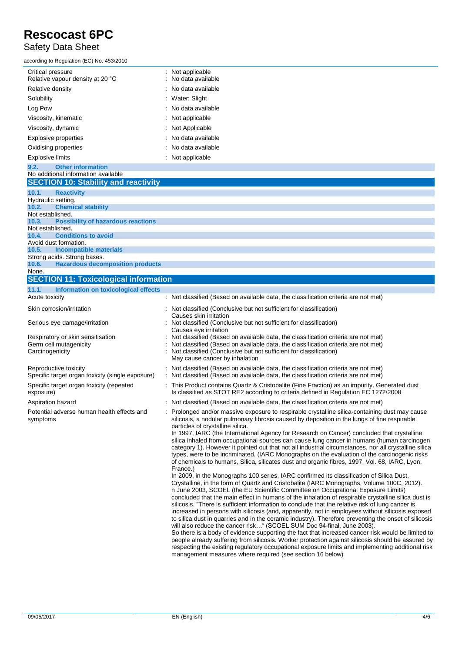### Safety Data Sheet

| according to Regulation (EC) No. 453/2010             |                                         |
|-------------------------------------------------------|-----------------------------------------|
| Critical pressure<br>Relative vapour density at 20 °C | : Not applicable<br>: No data available |
| Relative density                                      | $\therefore$ No data available          |
| Solubility                                            | : Water: Slight                         |
| Log Pow                                               | : No data available                     |
| Viscosity, kinematic                                  | : Not applicable                        |
| Viscosity, dynamic                                    | : Not Applicable                        |
| Explosive properties                                  | : No data available                     |
| Oxidising properties                                  | $\therefore$ No data available          |
| Explosive limits                                      | : Not applicable                        |
|                                                       |                                         |

|                    | 9.2. Other information                       |                                                                                           |
|--------------------|----------------------------------------------|-------------------------------------------------------------------------------------------|
|                    | No additional information available          |                                                                                           |
|                    | <b>SECTION 10: Stability and reactivity</b>  |                                                                                           |
|                    | 10.1. Reactivity                             |                                                                                           |
| Hydraulic setting. |                                              |                                                                                           |
|                    | 10.2. Chemical stability                     |                                                                                           |
| Not established.   |                                              |                                                                                           |
|                    | 10.3. Possibility of hazardous reactions     |                                                                                           |
| Not established.   |                                              |                                                                                           |
|                    | 10.4. Conditions to avoid                    |                                                                                           |
|                    | Avoid dust formation.                        |                                                                                           |
|                    | 10.5. Incompatible materials                 |                                                                                           |
|                    | Strong acids. Strong bases.                  |                                                                                           |
|                    | 10.6. Hazardous decomposition products       |                                                                                           |
| None.              |                                              |                                                                                           |
|                    | <b>SECTION 11: Toxicological information</b> |                                                                                           |
|                    | 11.1. Information on toxicological effects   |                                                                                           |
| Acuto tovicity     |                                              | $\cdot$ Not closeified (Bessed on available data the closeification criteria are not mot) |

| Acute toxicity                                                                 | Not classified (Based on available data, the classification criteria are not met)                                                                                                                                                                                                                                                                                                                                                                                                                                                                                                                                                                                                                                                                                                                                                                                                                                                                                                                                                                                                                                                                                                                                                                                                                                                                                                                                                                                                                                                                                                                                                                                                                                                                                                                                                                                                                           |
|--------------------------------------------------------------------------------|-------------------------------------------------------------------------------------------------------------------------------------------------------------------------------------------------------------------------------------------------------------------------------------------------------------------------------------------------------------------------------------------------------------------------------------------------------------------------------------------------------------------------------------------------------------------------------------------------------------------------------------------------------------------------------------------------------------------------------------------------------------------------------------------------------------------------------------------------------------------------------------------------------------------------------------------------------------------------------------------------------------------------------------------------------------------------------------------------------------------------------------------------------------------------------------------------------------------------------------------------------------------------------------------------------------------------------------------------------------------------------------------------------------------------------------------------------------------------------------------------------------------------------------------------------------------------------------------------------------------------------------------------------------------------------------------------------------------------------------------------------------------------------------------------------------------------------------------------------------------------------------------------------------|
| Skin corrosion/irritation                                                      | : Not classified (Conclusive but not sufficient for classification)<br>Causes skin irritation                                                                                                                                                                                                                                                                                                                                                                                                                                                                                                                                                                                                                                                                                                                                                                                                                                                                                                                                                                                                                                                                                                                                                                                                                                                                                                                                                                                                                                                                                                                                                                                                                                                                                                                                                                                                               |
| Serious eye damage/irritation                                                  | Not classified (Conclusive but not sufficient for classification)<br>Causes eye irritation                                                                                                                                                                                                                                                                                                                                                                                                                                                                                                                                                                                                                                                                                                                                                                                                                                                                                                                                                                                                                                                                                                                                                                                                                                                                                                                                                                                                                                                                                                                                                                                                                                                                                                                                                                                                                  |
| Respiratory or skin sensitisation<br>Germ cell mutagenicity<br>Carcinogenicity | Not classified (Based on available data, the classification criteria are not met)<br>Not classified (Based on available data, the classification criteria are not met)<br>Not classified (Conclusive but not sufficient for classification)<br>May cause cancer by inhalation                                                                                                                                                                                                                                                                                                                                                                                                                                                                                                                                                                                                                                                                                                                                                                                                                                                                                                                                                                                                                                                                                                                                                                                                                                                                                                                                                                                                                                                                                                                                                                                                                               |
| Reproductive toxicity<br>Specific target organ toxicity (single exposure)      | Not classified (Based on available data, the classification criteria are not met)<br>Not classified (Based on available data, the classification criteria are not met)                                                                                                                                                                                                                                                                                                                                                                                                                                                                                                                                                                                                                                                                                                                                                                                                                                                                                                                                                                                                                                                                                                                                                                                                                                                                                                                                                                                                                                                                                                                                                                                                                                                                                                                                      |
| Specific target organ toxicity (repeated<br>exposure)                          | : This Product contains Quartz & Cristobalite (Fine Fraction) as an impurity. Generated dust<br>Is classified as STOT RE2 according to criteria defined in Regulation EC 1272/2008                                                                                                                                                                                                                                                                                                                                                                                                                                                                                                                                                                                                                                                                                                                                                                                                                                                                                                                                                                                                                                                                                                                                                                                                                                                                                                                                                                                                                                                                                                                                                                                                                                                                                                                          |
| Aspiration hazard                                                              | : Not classified (Based on available data, the classification criteria are not met)                                                                                                                                                                                                                                                                                                                                                                                                                                                                                                                                                                                                                                                                                                                                                                                                                                                                                                                                                                                                                                                                                                                                                                                                                                                                                                                                                                                                                                                                                                                                                                                                                                                                                                                                                                                                                         |
| Potential adverse human health effects and<br>symptoms                         | Prolonged and/or massive exposure to respirable crystalline silica-containing dust may cause<br>silicosis, a nodular pulmonary fibrosis caused by deposition in the lungs of fine respirable<br>particles of crystalline silica.<br>In 1997, IARC (the International Agency for Research on Cancer) concluded that crystalline<br>silica inhaled from occupational sources can cause lung cancer in humans (human carcinogen<br>category 1). However it pointed out that not all industrial circumstances, nor all crystalline silica<br>types, were to be incriminated. (IARC Monographs on the evaluation of the carcinogenic risks<br>of chemicals to humans, Silica, silicates dust and organic fibres, 1997, Vol. 68, IARC, Lyon,<br>France.)<br>In 2009, in the Monographs 100 series, IARC confirmed its classification of Silica Dust,<br>Crystalline, in the form of Quartz and Cristobalite (IARC Monographs, Volume 100C, 2012).<br>n June 2003, SCOEL (the EU Scientific Committee on Occupational Exposure Limits)<br>concluded that the main effect in humans of the inhalation of respirable crystalline silica dust is<br>silicosis. "There is sufficient information to conclude that the relative risk of lung cancer is<br>increased in persons with silicosis (and, apparently, not in employees without silicosis exposed<br>to silica dust in quarries and in the ceramic industry). Therefore preventing the onset of silicosis<br>will also reduce the cancer risk" (SCOEL SUM Doc 94-final, June 2003).<br>So there is a body of evidence supporting the fact that increased cancer risk would be limited to<br>people already suffering from silicosis. Worker protection against silicosis should be assured by<br>respecting the existing regulatory occupational exposure limits and implementing additional risk<br>management measures where required (see section 16 below) |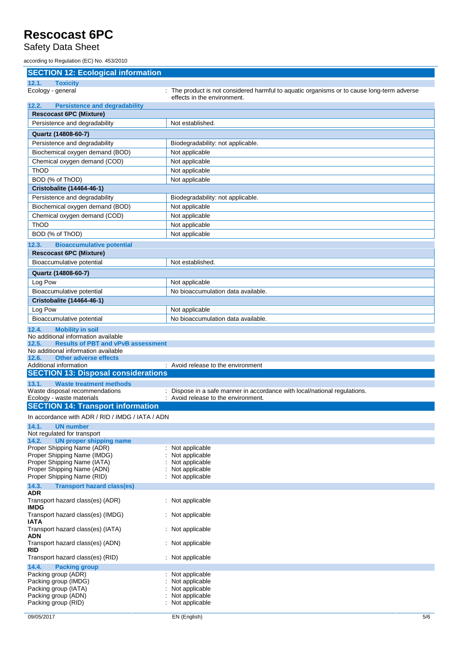Safety Data Sheet

according to Regulation (EC) No. 453/2010

| <b>SECTION 12: Ecological information</b>                                    |                                                                                                                           |
|------------------------------------------------------------------------------|---------------------------------------------------------------------------------------------------------------------------|
| 12.1.<br><b>Toxicity</b>                                                     |                                                                                                                           |
| Ecology - general                                                            | : The product is not considered harmful to aquatic organisms or to cause long-term adverse<br>effects in the environment. |
| <b>Persistence and degradability</b><br>12.2.                                |                                                                                                                           |
| <b>Rescocast 6PC (Mixture)</b>                                               |                                                                                                                           |
| Persistence and degradability                                                | Not established.                                                                                                          |
| Quartz (14808-60-7)                                                          |                                                                                                                           |
| Persistence and degradability                                                | Biodegradability: not applicable.                                                                                         |
| Biochemical oxygen demand (BOD)                                              | Not applicable                                                                                                            |
| Chemical oxygen demand (COD)                                                 | Not applicable                                                                                                            |
| ThOD<br>BOD (% of ThOD)                                                      | Not applicable                                                                                                            |
| Cristobalite (14464-46-1)                                                    | Not applicable                                                                                                            |
| Persistence and degradability                                                | Biodegradability: not applicable.                                                                                         |
| Biochemical oxygen demand (BOD)                                              | Not applicable                                                                                                            |
| Chemical oxygen demand (COD)                                                 | Not applicable                                                                                                            |
| <b>ThOD</b>                                                                  | Not applicable                                                                                                            |
| BOD (% of ThOD)                                                              | Not applicable                                                                                                            |
| 12.3.<br><b>Bioaccumulative potential</b>                                    |                                                                                                                           |
| <b>Rescocast 6PC (Mixture)</b>                                               |                                                                                                                           |
| Bioaccumulative potential                                                    | Not established.                                                                                                          |
| Quartz (14808-60-7)                                                          |                                                                                                                           |
| Log Pow                                                                      | Not applicable                                                                                                            |
| Bioaccumulative potential                                                    | No bioaccumulation data available.                                                                                        |
| Cristobalite (14464-46-1)                                                    |                                                                                                                           |
| Log Pow                                                                      | Not applicable                                                                                                            |
| Bioaccumulative potential                                                    | No bioaccumulation data available.                                                                                        |
| <b>Mobility in soil</b><br>12.4.                                             |                                                                                                                           |
| No additional information available                                          |                                                                                                                           |
| 12.5.<br><b>Results of PBT and vPvB assessment</b>                           |                                                                                                                           |
| No additional information available<br><b>Other adverse effects</b><br>12.6. |                                                                                                                           |
| Additional information                                                       | : Avoid release to the environment                                                                                        |
| <b>SECTION 13: Disposal considerations</b>                                   |                                                                                                                           |
| 13.1.<br><b>Waste treatment methods</b>                                      |                                                                                                                           |
| Waste disposal recommendations<br>Ecology - waste materials                  | : Dispose in a safe manner in accordance with local/national regulations.<br>: Avoid release to the environment.          |
| <b>SECTION 14: Transport information</b>                                     |                                                                                                                           |
| In accordance with ADR / RID / IMDG / IATA / ADN                             |                                                                                                                           |
| 14.1.<br><b>UN number</b>                                                    |                                                                                                                           |
| Not regulated for transport                                                  |                                                                                                                           |
| 14.2.<br><b>UN proper shipping name</b>                                      |                                                                                                                           |
| Proper Shipping Name (ADR)                                                   | : Not applicable                                                                                                          |
| Proper Shipping Name (IMDG)<br>Proper Shipping Name (IATA)                   | Not applicable<br>Not applicable                                                                                          |
| Proper Shipping Name (ADN)                                                   | Not applicable                                                                                                            |
| Proper Shipping Name (RID)                                                   | Not applicable                                                                                                            |
| 14.3.<br><b>Transport hazard class(es)</b>                                   |                                                                                                                           |
| <b>ADR</b><br>Transport hazard class(es) (ADR)<br><b>IMDG</b>                | : Not applicable                                                                                                          |
| Transport hazard class(es) (IMDG)<br><b>IATA</b>                             | : Not applicable                                                                                                          |
| Transport hazard class(es) (IATA)<br><b>ADN</b>                              | : Not applicable                                                                                                          |
| Transport hazard class(es) (ADN)<br><b>RID</b>                               | : Not applicable                                                                                                          |
| Transport hazard class(es) (RID)                                             | : Not applicable                                                                                                          |
| 14.4.<br><b>Packing group</b>                                                |                                                                                                                           |
| Packing group (ADR)<br>Packing group (IMDG)                                  | Not applicable<br>Not applicable                                                                                          |
| Packing group (IATA)                                                         | Not applicable                                                                                                            |
|                                                                              |                                                                                                                           |
| Packing group (ADN)<br>Packing group (RID)                                   | Not applicable<br>Not applicable                                                                                          |